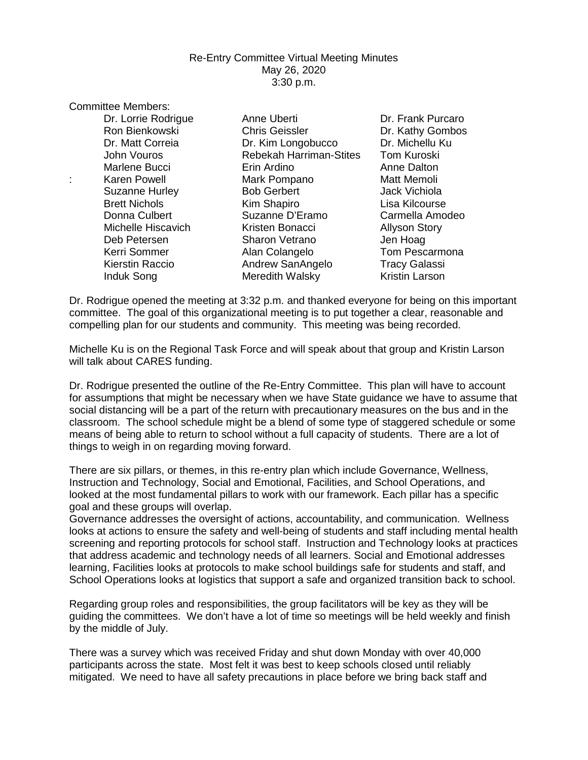## Re-Entry Committee Virtual Meeting Minutes May 26, 2020 3:30 p.m.

Committee Members:

Dr. Lorrie Rodrigue **Anne Uberti Communist Constructs** Dr. Frank Purcaro Ron Bienkowski Chris Geissler Dr. Kathy Gombos Dr. Kim Longobucco Dr. Michellu Ku<br>Rebekah Harriman-Stites Tom Kuroski John Vouros **Rebekah Harriman-Stites** Marlene Bucci Erin Ardino Anne Dalton Karen Powell **Mark Pompano** Matt Memoli Suzanne Hurley Bob Gerbert Jack Vichiola Brett Nichols **Kim Shapiro** Lisa Kilcourse Donna Culbert Suzanne D'Eramo Carmella Amodeo Michelle Hiscavich **Kristen Bonacci** Allyson Story Deb Petersen Sharon Vetrano Jen Hoag Kerri Sommer Alan Colangelo Tom Pescarmona Kierstin Raccio **Andrew SanAngelo** Tracy Galassi Induk Song **Meredith Walsky** Kristin Larson

Dr. Rodrigue opened the meeting at 3:32 p.m. and thanked everyone for being on this important committee. The goal of this organizational meeting is to put together a clear, reasonable and compelling plan for our students and community. This meeting was being recorded.

Michelle Ku is on the Regional Task Force and will speak about that group and Kristin Larson will talk about CARES funding.

Dr. Rodrigue presented the outline of the Re-Entry Committee. This plan will have to account for assumptions that might be necessary when we have State guidance we have to assume that social distancing will be a part of the return with precautionary measures on the bus and in the classroom. The school schedule might be a blend of some type of staggered schedule or some means of being able to return to school without a full capacity of students. There are a lot of things to weigh in on regarding moving forward.

There are six pillars, or themes, in this re-entry plan which include Governance, Wellness, Instruction and Technology, Social and Emotional, Facilities, and School Operations, and looked at the most fundamental pillars to work with our framework. Each pillar has a specific goal and these groups will overlap.

Governance addresses the oversight of actions, accountability, and communication. Wellness looks at actions to ensure the safety and well-being of students and staff including mental health screening and reporting protocols for school staff. Instruction and Technology looks at practices that address academic and technology needs of all learners. Social and Emotional addresses learning, Facilities looks at protocols to make school buildings safe for students and staff, and School Operations looks at logistics that support a safe and organized transition back to school.

Regarding group roles and responsibilities, the group facilitators will be key as they will be guiding the committees. We don't have a lot of time so meetings will be held weekly and finish by the middle of July.

There was a survey which was received Friday and shut down Monday with over 40,000 participants across the state. Most felt it was best to keep schools closed until reliably mitigated. We need to have all safety precautions in place before we bring back staff and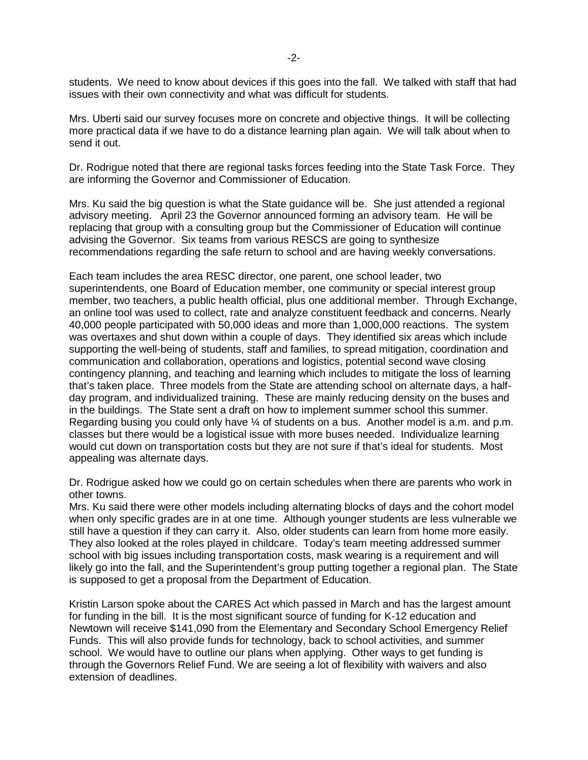students. We need to know about devices if this goes into the fall. We talked with staff that had issues with their own connectivity and what was difficult for students.

Mrs. Uberti said our survey focuses more on concrete and objective things. It will be collecting more practical data if we have to do a distance learning plan again. We will talk about when to send it out.

Dr. Rodrigue noted that there are regional tasks forces feeding into the State Task Force. They are informing the Governor and Commissioner of Education.

Mrs. Ku said the big question is what the State guidance will be. She just attended a regional advisory meeting. April 23 the Governor announced forming an advisory team. He will be replacing that group with a consulting group but the Commissioner of Education will continue advising the Governor. Six teams from various RESCS are going to synthesize recommendations regarding the safe return to school and are having weekly conversations.

Each team includes the area RESC director, one parent, one school leader, two superintendents, one Board of Education member, one community or special interest group member, two teachers, a public health official, plus one additional member.Through Exchange, an online tool was used to collect, rate and analyze constituent feedback and concerns. Nearly 40,000 people participated with 50,000 ideas and more than 1,000,000 reactions. The system was overtaxes and shut down within a couple of days. They identified six areas which include supporting the well-being of students, staff and families, to spread mitigation, coordination and communication and collaboration, operations and logistics, potential second wave closing contingency planning, and teaching and learning which includes to mitigate the loss of learning that's taken place. Three models from the State are attending school on alternate days, a halfday program, and individualized training. These are mainly reducing density on the buses and in the buildings. The State sent a draft on how to implement summer school this summer. Regarding busing you could only have ¼ of students on a bus. Another model is a.m. and p.m. classes but there would be a logistical issue with more buses needed. Individualize learning would cut down on transportation costs but they are not sure if that's ideal for students. Most appealing was alternate days.

Dr. Rodrigue asked how we could go on certain schedules when there are parents who work in other towns.

Mrs. Ku said there were other models including alternating blocks of days and the cohort model when only specific grades are in at one time. Although younger students are less vulnerable we still have a question if they can carry it. Also, older students can learn from home more easily. They also looked at the roles played in childcare. Today's team meeting addressed summer school with big issues including transportation costs, mask wearing is a requirement and will likely go into the fall, and the Superintendent's group putting together a regional plan. The State is supposed to get a proposal from the Department of Education.

Kristin Larson spoke about the CARES Act which passed in March and has the largest amount for funding in the bill. It is the most significant source of funding for K-12 education and Newtown will receive \$141,090 from the Elementary and Secondary School Emergency Relief Funds. This will also provide funds for technology, back to school activities, and summer school. We would have to outline our plans when applying. Other ways to get funding is through the Governors Relief Fund. We are seeing a lot of flexibility with waivers and also extension of deadlines.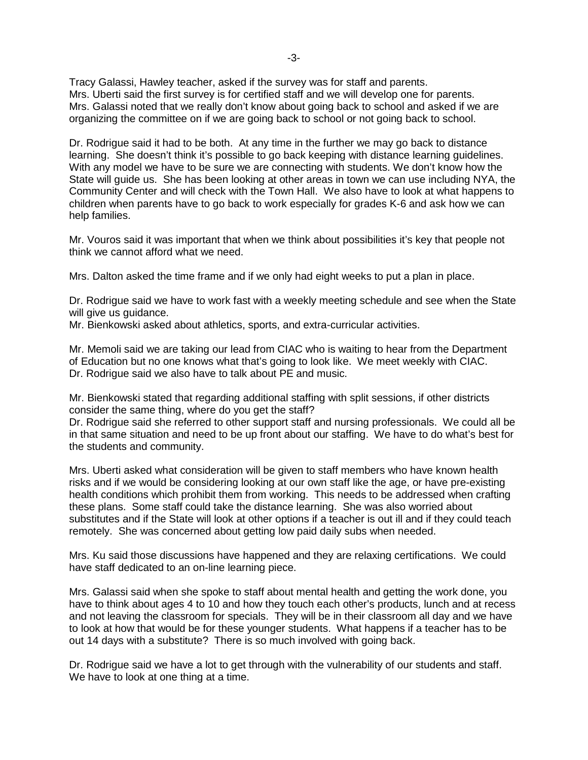Tracy Galassi, Hawley teacher, asked if the survey was for staff and parents. Mrs. Uberti said the first survey is for certified staff and we will develop one for parents. Mrs. Galassi noted that we really don't know about going back to school and asked if we are organizing the committee on if we are going back to school or not going back to school.

Dr. Rodrigue said it had to be both. At any time in the further we may go back to distance learning. She doesn't think it's possible to go back keeping with distance learning guidelines. With any model we have to be sure we are connecting with students. We don't know how the State will guide us. She has been looking at other areas in town we can use including NYA, the Community Center and will check with the Town Hall. We also have to look at what happens to children when parents have to go back to work especially for grades K-6 and ask how we can help families.

Mr. Vouros said it was important that when we think about possibilities it's key that people not think we cannot afford what we need.

Mrs. Dalton asked the time frame and if we only had eight weeks to put a plan in place.

Dr. Rodrigue said we have to work fast with a weekly meeting schedule and see when the State will give us guidance.

Mr. Bienkowski asked about athletics, sports, and extra-curricular activities.

Mr. Memoli said we are taking our lead from CIAC who is waiting to hear from the Department of Education but no one knows what that's going to look like. We meet weekly with CIAC. Dr. Rodrigue said we also have to talk about PE and music.

Mr. Bienkowski stated that regarding additional staffing with split sessions, if other districts consider the same thing, where do you get the staff?

Dr. Rodrigue said she referred to other support staff and nursing professionals. We could all be in that same situation and need to be up front about our staffing. We have to do what's best for the students and community.

Mrs. Uberti asked what consideration will be given to staff members who have known health risks and if we would be considering looking at our own staff like the age, or have pre-existing health conditions which prohibit them from working. This needs to be addressed when crafting these plans. Some staff could take the distance learning. She was also worried about substitutes and if the State will look at other options if a teacher is out ill and if they could teach remotely. She was concerned about getting low paid daily subs when needed.

Mrs. Ku said those discussions have happened and they are relaxing certifications. We could have staff dedicated to an on-line learning piece.

Mrs. Galassi said when she spoke to staff about mental health and getting the work done, you have to think about ages 4 to 10 and how they touch each other's products, lunch and at recess and not leaving the classroom for specials. They will be in their classroom all day and we have to look at how that would be for these younger students. What happens if a teacher has to be out 14 days with a substitute? There is so much involved with going back.

Dr. Rodrigue said we have a lot to get through with the vulnerability of our students and staff. We have to look at one thing at a time.